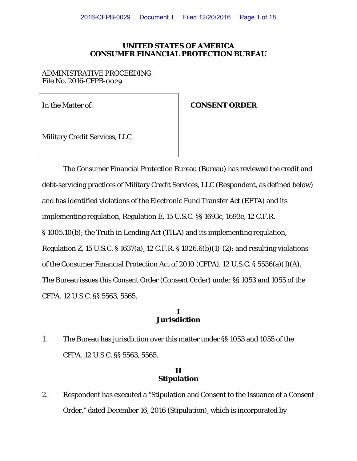### **UNITED STATES OF AMERICA CONSUMER FINANCIAL PROTECTION BUREAU**

#### ADMINISTRATIVE PROCEEDING File No. 2016-CFPB-0029

### In the Matter of: **CONSENT ORDER**

Military Credit Services, LLC

The Consumer Financial Protection Bureau (Bureau) has reviewed the credit and debt-servicing practices of Military Credit Services, LLC (Respondent, as defined below) and has identified violations of the Electronic Fund Transfer Act (EFTA) and its implementing regulation, Regulation E, 15 U.S.C. §§ 1693c, 1693e, 12 C.F.R. § 1005.10(b); the Truth in Lending Act (TILA) and its implementing regulation, Regulation Z, 15 U.S.C. § 1637(a), 12 C.F.R. § 1026.6(b)(1)-(2); and resulting violations of the Consumer Financial Protection Act of 2010 (CFPA), 12 U.S.C. § 5536(a)(1)(A). The Bureau issues this Consent Order (Consent Order) under §§ 1053 and 1055 of the CFPA. 12 U.S.C. §§ 5563, 5565.

### **I Jurisdiction**

1. The Bureau has jurisdiction over this matter under §§ 1053 and 1055 of the CFPA. 12 U.S.C. §§ 5563, 5565.

## **II Stipulation**

2. Respondent has executed a "Stipulation and Consent to the Issuance of a Consent Order," dated December 16, 2016 (Stipulation), which is incorporated by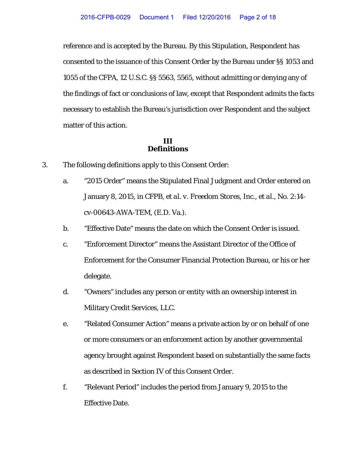reference and is accepted by the Bureau. By this Stipulation, Respondent has consented to the issuance of this Consent Order by the Bureau under §§ 1053 and 1055 of the CFPA, 12 U.S.C. §§ 5563, 5565, without admitting or denying any of the findings of fact or conclusions of law, except that Respondent admits the facts necessary to establish the Bureau's jurisdiction over Respondent and the subject matter of this action.

## **III Definitions**

- 3. The following definitions apply to this Consent Order:
	- a. "2015 Order" means the Stipulated Final Judgment and Order entered on January 8, 2015, in *CFPB, et al. v. Freedom Stores, Inc., et al.*, No. 2:14 cv-00643-AWA-TEM, (E.D. Va.).
	- b. "Effective Date" means the date on which the Consent Order is issued.
	- c. "Enforcement Director" means the Assistant Director of the Office of Enforcement for the Consumer Financial Protection Bureau, or his or her delegate.
	- d. "Owners" includes any person or entity with an ownership interest in Military Credit Services, LLC.
	- e. "Related Consumer Action" means a private action by or on behalf of one or more consumers or an enforcement action by another governmental agency brought against Respondent based on substantially the same facts as described in Section IV of this Consent Order.
	- f. "Relevant Period" includes the period from January 9, 2015 to the Effective Date.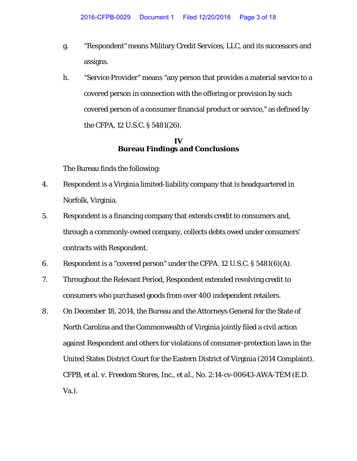- g. "Respondent" means Military Credit Services, LLC, and its successors and assigns.
- h. "Service Provider" means "any person that provides a material service to a covered person in connection with the offering or provision by such covered person of a consumer financial product or service," as defined by the CFPA, 12 U.S.C. § 5481(26).

## **IV Bureau Findings and Conclusions**

The Bureau finds the following:

- 4. Respondent is a Virginia limited-liability company that is headquartered in Norfolk, Virginia.
- 5. Respondent is a financing company that extends credit to consumers and, through a commonly-owned company, collects debts owed under consumers' contracts with Respondent.
- 6. Respondent is a "covered person" under the CFPA. 12 U.S.C. § 5481(6)(A).
- 7. Throughout the Relevant Period, Respondent extended revolving credit to consumers who purchased goods from over 400 independent retailers.
- 8. On December 18, 2014, the Bureau and the Attorneys General for the State of North Carolina and the Commonwealth of Virginia jointly filed a civil action against Respondent and others for violations of consumer-protection laws in the United States District Court for the Eastern District of Virginia (2014 Complaint). *CFPB, et al. v. Freedom Stores, Inc., et al.*, No. 2:14-cv-00643-AWA-TEM (E.D. Va.).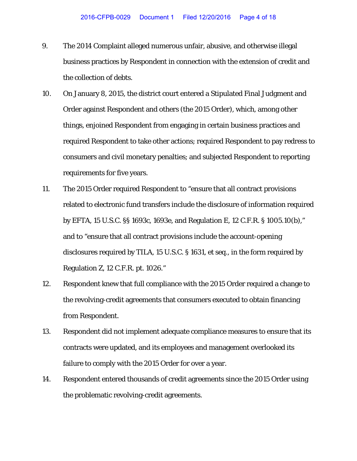- 9. The 2014 Complaint alleged numerous unfair, abusive, and otherwise illegal business practices by Respondent in connection with the extension of credit and the collection of debts.
- 10. On January 8, 2015, the district court entered a Stipulated Final Judgment and Order against Respondent and others (the 2015 Order), which, among other things, enjoined Respondent from engaging in certain business practices and required Respondent to take other actions; required Respondent to pay redress to consumers and civil monetary penalties; and subjected Respondent to reporting requirements for five years.
- 11. The 2015 Order required Respondent to "ensure that all contract provisions related to electronic fund transfers include the disclosure of information required by EFTA, 15 U.S.C. §§ 1693c, 1693e, and Regulation E, 12 C.F.R. § 1005.10(b)," and to "ensure that all contract provisions include the account-opening disclosures required by TILA, 15 U.S.C. § 1631, et seq., in the form required by Regulation Z, 12 C.F.R. pt. 1026."
- 12. Respondent knew that full compliance with the 2015 Order required a change to the revolving-credit agreements that consumers executed to obtain financing from Respondent.
- 13. Respondent did not implement adequate compliance measures to ensure that its contracts were updated, and its employees and management overlooked its failure to comply with the 2015 Order for over a year.
- 14. Respondent entered thousands of credit agreements since the 2015 Order using the problematic revolving-credit agreements.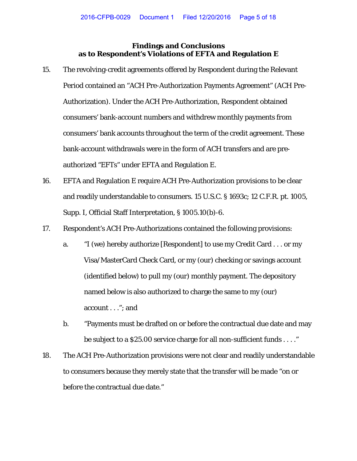## **Findings and Conclusions as to Respondent's Violations of EFTA and Regulation E**

- 15. The revolving-credit agreements offered by Respondent during the Relevant Period contained an "ACH Pre-Authorization Payments Agreement" (ACH Pre-Authorization). Under the ACH Pre-Authorization, Respondent obtained consumers' bank-account numbers and withdrew monthly payments from consumers' bank accounts throughout the term of the credit agreement. These bank-account withdrawals were in the form of ACH transfers and are preauthorized "EFTs" under EFTA and Regulation E.
- 16. EFTA and Regulation E require ACH Pre-Authorization provisions to be clear and readily understandable to consumers. 15 U.S.C. § 1693c; 12 C.F.R. pt. 1005, Supp. I, Official Staff Interpretation, § 1005.10(b)-6.
- 17. Respondent's ACH Pre-Authorizations contained the following provisions:
	- a. "I (we) hereby authorize [Respondent] to use my Credit Card . . . or my Visa/MasterCard Check Card, or my (our) checking or savings account (identified below) to pull my (our) monthly payment. The depository named below is also authorized to charge the same to my (our) account . . ."; and
	- b. "Payments must be drafted on or before the contractual due date and may be subject to a \$25.00 service charge for all non-sufficient funds . . . ."
- 18. The ACH Pre-Authorization provisions were not clear and readily understandable to consumers because they merely state that the transfer will be made "on or before the contractual due date."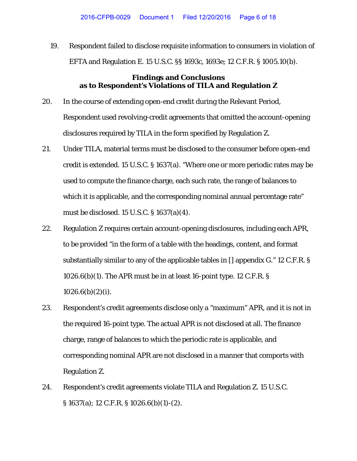19. Respondent failed to disclose requisite information to consumers in violation of EFTA and Regulation E. 15 U.S.C. §§ 1693c, 1693e; 12 C.F.R. § 1005.10(b).

# **Findings and Conclusions as to Respondent's Violations of TILA and Regulation Z**

- 20. In the course of extending open-end credit during the Relevant Period, Respondent used revolving-credit agreements that omitted the account-opening disclosures required by TILA in the form specified by Regulation Z.
- 21. Under TILA, material terms must be disclosed to the consumer before open-end credit is extended. 15 U.S.C. § 1637(a). "Where one or more periodic rates may be used to compute the finance charge, each such rate, the range of balances to which it is applicable, and the corresponding nominal annual percentage rate" must be disclosed. 15 U.S.C. § 1637(a)(4).
- 22. Regulation Z requires certain account-opening disclosures, including each APR, to be provided "in the form of a table with the headings, content, and format substantially similar to any of the applicable tables in [] appendix G." 12 C.F.R. §  $1026.6(b)(1)$ . The APR must be in at least 16-point type. 12 C.F.R. §  $1026.6(b)(2)(i)$ .
- 23. Respondent's credit agreements disclose only a "maximum" APR, and it is not in the required 16-point type. The actual APR is not disclosed at all. The finance charge, range of balances to which the periodic rate is applicable, and corresponding nominal APR are not disclosed in a manner that comports with Regulation Z.
- 24. Respondent's credit agreements violate TILA and Regulation Z. 15 U.S.C. § 1637(a); 12 C.F.R. § 1026.6(b)(1)-(2).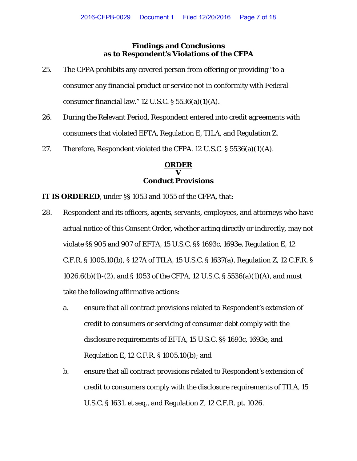# **Findings and Conclusions as to Respondent's Violations of the CFPA**

- 25. The CFPA prohibits any covered person from offering or providing "to a consumer any financial product or service not in conformity with Federal consumer financial law."  $12$  U.S.C.  $\S$  5536(a)(1)(A).
- 26. During the Relevant Period, Respondent entered into credit agreements with consumers that violated EFTA, Regulation E, TILA, and Regulation Z.
- 27. Therefore, Respondent violated the CFPA. 12 U.S.C. § 5536(a)(1)(A).

## **ORDER V Conduct Provisions**

**IT IS ORDERED**, under §§ 1053 and 1055 of the CFPA, that:

- 28. Respondent and its officers, agents, servants, employees, and attorneys who have actual notice of this Consent Order, whether acting directly or indirectly, may not violate §§ 905 and 907 of EFTA, 15 U.S.C. §§ 1693c, 1693e, Regulation E, 12 C.F.R. § 1005.10(b), § 127A of TILA, 15 U.S.C. § 1637(a), Regulation Z, 12 C.F.R. § 1026.6(b)(1)-(2), and § 1053 of the CFPA, 12 U.S.C. § 5536(a)(1)(A), and must take the following affirmative actions:
	- a. ensure that all contract provisions related to Respondent's extension of credit to consumers or servicing of consumer debt comply with the disclosure requirements of EFTA, 15 U.S.C. §§ 1693c, 1693e, and Regulation E, 12 C.F.R. § 1005.10(b); and
	- b. ensure that all contract provisions related to Respondent's extension of credit to consumers comply with the disclosure requirements of TILA, 15 U.S.C. § 1631, et seq., and Regulation Z, 12 C.F.R. pt. 1026.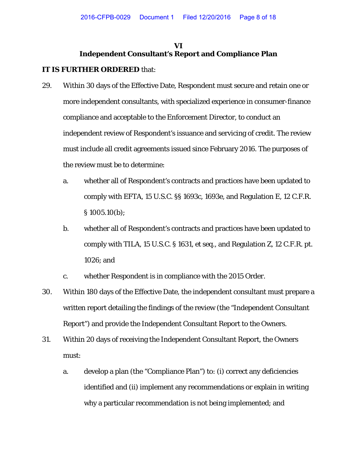# **VI Independent Consultant's Report and Compliance Plan**

- 29. Within 30 days of the Effective Date, Respondent must secure and retain one or more independent consultants, with specialized experience in consumer-finance compliance and acceptable to the Enforcement Director, to conduct an independent review of Respondent's issuance and servicing of credit. The review must include all credit agreements issued since February 2016. The purposes of the review must be to determine:
	- a. whether all of Respondent's contracts and practices have been updated to comply with EFTA, 15 U.S.C. §§ 1693c, 1693e, and Regulation E, 12 C.F.R. § 1005.10(b);
	- b. whether all of Respondent's contracts and practices have been updated to comply with TILA, 15 U.S.C. § 1631, *et seq.*, and Regulation Z, 12 C.F.R. pt. 1026; and
	- c. whether Respondent is in compliance with the 2015 Order.
- 30. Within 180 days of the Effective Date, the independent consultant must prepare a written report detailing the findings of the review (the "Independent Consultant Report") and provide the Independent Consultant Report to the Owners.
- 31. Within 20 days of receiving the Independent Consultant Report, the Owners must:
	- a. develop a plan (the "Compliance Plan") to: (i) correct any deficiencies identified and (ii) implement any recommendations or explain in writing why a particular recommendation is not being implemented; and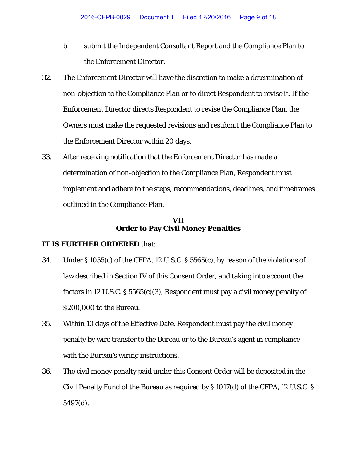- b. submit the Independent Consultant Report and the Compliance Plan to the Enforcement Director.
- 32. The Enforcement Director will have the discretion to make a determination of non-objection to the Compliance Plan or to direct Respondent to revise it. If the Enforcement Director directs Respondent to revise the Compliance Plan, the Owners must make the requested revisions and resubmit the Compliance Plan to the Enforcement Director within 20 days.
- 33. After receiving notification that the Enforcement Director has made a determination of non-objection to the Compliance Plan, Respondent must implement and adhere to the steps, recommendations, deadlines, and timeframes outlined in the Compliance Plan.

## **VII Order to Pay Civil Money Penalties**

- 34. Under § 1055(c) of the CFPA, 12 U.S.C. § 5565(c), by reason of the violations of law described in Section IV of this Consent Order, and taking into account the factors in 12 U.S.C. § 5565(c)(3), Respondent must pay a civil money penalty of \$200,000 to the Bureau.
- 35. Within 10 days of the Effective Date, Respondent must pay the civil money penalty by wire transfer to the Bureau or to the Bureau's agent in compliance with the Bureau's wiring instructions.
- 36. The civil money penalty paid under this Consent Order will be deposited in the Civil Penalty Fund of the Bureau as required by § 1017(d) of the CFPA, 12 U.S.C. § 5497(d).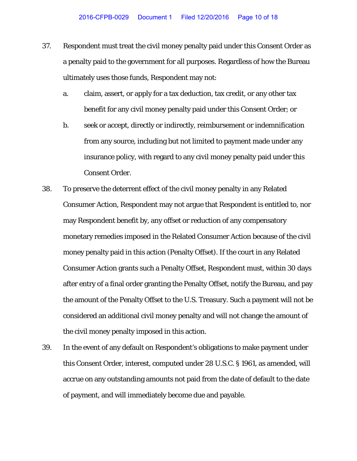- 37. Respondent must treat the civil money penalty paid under this Consent Order as a penalty paid to the government for all purposes. Regardless of how the Bureau ultimately uses those funds, Respondent may not:
	- a. claim, assert, or apply for a tax deduction, tax credit, or any other tax benefit for any civil money penalty paid under this Consent Order; or
	- b. seek or accept, directly or indirectly, reimbursement or indemnification from any source, including but not limited to payment made under any insurance policy, with regard to any civil money penalty paid under this Consent Order.
- 38. To preserve the deterrent effect of the civil money penalty in any Related Consumer Action, Respondent may not argue that Respondent is entitled to, nor may Respondent benefit by, any offset or reduction of any compensatory monetary remedies imposed in the Related Consumer Action because of the civil money penalty paid in this action (Penalty Offset). If the court in any Related Consumer Action grants such a Penalty Offset, Respondent must, within 30 days after entry of a final order granting the Penalty Offset, notify the Bureau, and pay the amount of the Penalty Offset to the U.S. Treasury. Such a payment will not be considered an additional civil money penalty and will not change the amount of the civil money penalty imposed in this action.
- 39. In the event of any default on Respondent's obligations to make payment under this Consent Order, interest, computed under 28 U.S.C. § 1961, as amended, will accrue on any outstanding amounts not paid from the date of default to the date of payment, and will immediately become due and payable.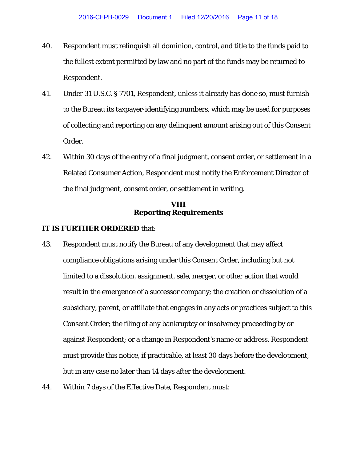- 40. Respondent must relinquish all dominion, control, and title to the funds paid to the fullest extent permitted by law and no part of the funds may be returned to Respondent.
- 41. Under 31 U.S.C. § 7701, Respondent, unless it already has done so, must furnish to the Bureau its taxpayer-identifying numbers, which may be used for purposes of collecting and reporting on any delinquent amount arising out of this Consent Order.
- 42. Within 30 days of the entry of a final judgment, consent order, or settlement in a Related Consumer Action, Respondent must notify the Enforcement Director of the final judgment, consent order, or settlement in writing.

### **VIII Reporting Requirements**

- 43. Respondent must notify the Bureau of any development that may affect compliance obligations arising under this Consent Order, including but not limited to a dissolution, assignment, sale, merger, or other action that would result in the emergence of a successor company; the creation or dissolution of a subsidiary, parent, or affiliate that engages in any acts or practices subject to this Consent Order; the filing of any bankruptcy or insolvency proceeding by or against Respondent; or a change in Respondent's name or address. Respondent must provide this notice, if practicable, at least 30 days before the development, but in any case no later than 14 days after the development.
- 44. Within 7 days of the Effective Date, Respondent must: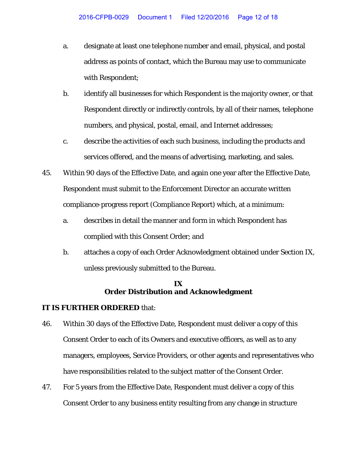- a. designate at least one telephone number and email, physical, and postal address as points of contact, which the Bureau may use to communicate with Respondent;
- b. identify all businesses for which Respondent is the majority owner, or that Respondent directly or indirectly controls, by all of their names, telephone numbers, and physical, postal, email, and Internet addresses;
- c. describe the activities of each such business, including the products and services offered, and the means of advertising, marketing, and sales.
- 45. Within 90 days of the Effective Date, and again one year after the Effective Date, Respondent must submit to the Enforcement Director an accurate written compliance-progress report (Compliance Report) which, at a minimum:
	- a. describes in detail the manner and form in which Respondent has complied with this Consent Order; and
	- b. attaches a copy of each Order Acknowledgment obtained under Section IX, unless previously submitted to the Bureau.

## **IX Order Distribution and Acknowledgment**

- 46. Within 30 days of the Effective Date, Respondent must deliver a copy of this Consent Order to each of its Owners and executive officers, as well as to any managers, employees, Service Providers, or other agents and representatives who have responsibilities related to the subject matter of the Consent Order.
- 47. For 5 years from the Effective Date, Respondent must deliver a copy of this Consent Order to any business entity resulting from any change in structure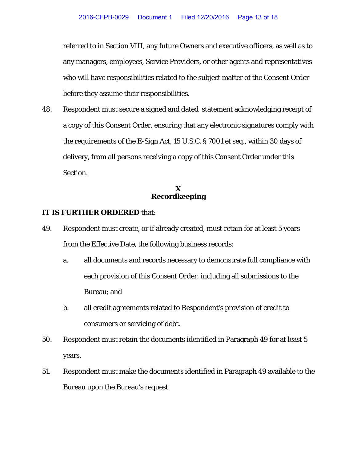referred to in Section VIII, any future Owners and executive officers, as well as to any managers, employees, Service Providers, or other agents and representatives who will have responsibilities related to the subject matter of the Consent Order before they assume their responsibilities.

48. Respondent must secure a signed and dated statement acknowledging receipt of a copy of this Consent Order, ensuring that any electronic signatures comply with the requirements of the E-Sign Act, 15 U.S.C. § 7001 et seq., within 30 days of delivery, from all persons receiving a copy of this Consent Order under this Section.

## **X Recordkeeping**

- 49. Respondent must create, or if already created, must retain for at least 5 years from the Effective Date, the following business records:
	- a. all documents and records necessary to demonstrate full compliance with each provision of this Consent Order, including all submissions to the Bureau; and
	- b. all credit agreements related to Respondent's provision of credit to consumers or servicing of debt.
- 50. Respondent must retain the documents identified in Paragraph 49 for at least 5 years.
- 51. Respondent must make the documents identified in Paragraph 49 available to the Bureau upon the Bureau's request.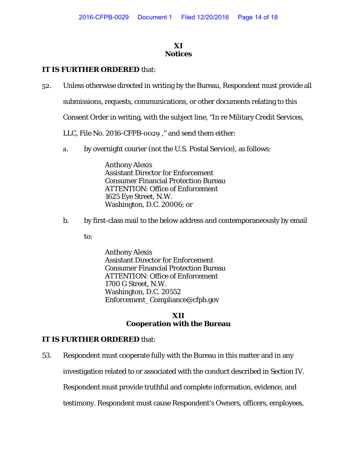## **XI Notices**

# **IT IS FURTHER ORDERED** that:

52. Unless otherwise directed in writing by the Bureau, Respondent must provide all

submissions, requests, communications, or other documents relating to this

Consent Order in writing, with the subject line, "In re Military Credit Services,

LLC, File No. 2016-CFPB-0029 ," and send them either:

a. by overnight courier (not the U.S. Postal Service), as follows:

Anthony Alexis Assistant Director for Enforcement Consumer Financial Protection Bureau ATTENTION: Office of Enforcement 1625 Eye Street, N.W. Washington, D.C. 20006; or

b. by first-class mail to the below address and contemporaneously by email

to:

Anthony Alexis Assistant Director for Enforcement Consumer Financial Protection Bureau ATTENTION: Office of Enforcement 1700 G Street, N.W. Washington, D.C. 20552 Enforcement\_Compliance@cfpb.gov

## **XII Cooperation with the Bureau**

## **IT IS FURTHER ORDERED** that:

53. Respondent must cooperate fully with the Bureau in this matter and in any

investigation related to or associated with the conduct described in Section IV.

Respondent must provide truthful and complete information, evidence, and

testimony. Respondent must cause Respondent's Owners, officers, employees,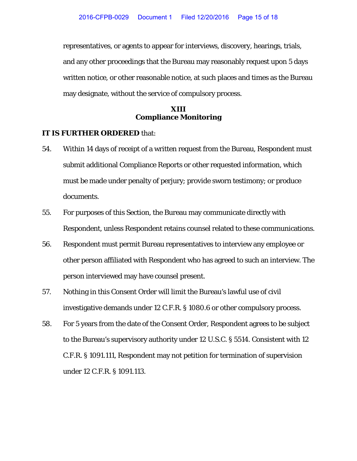representatives, or agents to appear for interviews, discovery, hearings, trials, and any other proceedings that the Bureau may reasonably request upon 5 days written notice, or other reasonable notice, at such places and times as the Bureau may designate, without the service of compulsory process.

### **XIII Compliance Monitoring**

- 54. Within 14 days of receipt of a written request from the Bureau, Respondent must submit additional Compliance Reports or other requested information, which must be made under penalty of perjury; provide sworn testimony; or produce documents.
- 55. For purposes of this Section, the Bureau may communicate directly with Respondent, unless Respondent retains counsel related to these communications.
- 56. Respondent must permit Bureau representatives to interview any employee or other person affiliated with Respondent who has agreed to such an interview. The person interviewed may have counsel present.
- 57. Nothing in this Consent Order will limit the Bureau's lawful use of civil investigative demands under 12 C.F.R. § 1080.6 or other compulsory process.
- 58. For 5 years from the date of the Consent Order, Respondent agrees to be subject to the Bureau's supervisory authority under 12 U.S.C. § 5514. Consistent with 12 C.F.R. § 1091.111, Respondent may not petition for termination of supervision under 12 C.F.R. § 1091.113.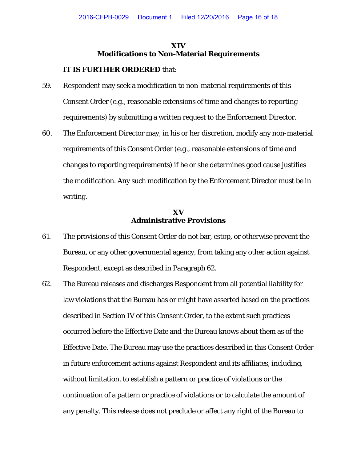### **XIV Modifications to Non-Material Requirements**

#### **IT IS FURTHER ORDERED** that:

- 59. Respondent may seek a modification to non-material requirements of this Consent Order (*e.g.*, reasonable extensions of time and changes to reporting requirements) by submitting a written request to the Enforcement Director.
- 60. The Enforcement Director may, in his or her discretion, modify any non-material requirements of this Consent Order (*e.g.,* reasonable extensions of time and changes to reporting requirements) if he or she determines good cause justifies the modification. Any such modification by the Enforcement Director must be in writing.

## **XV Administrative Provisions**

- 61. The provisions of this Consent Order do not bar, estop, or otherwise prevent the Bureau, or any other governmental agency, from taking any other action against Respondent, except as described in Paragraph 62.
- 62. The Bureau releases and discharges Respondent from all potential liability for law violations that the Bureau has or might have asserted based on the practices described in Section IV of this Consent Order, to the extent such practices occurred before the Effective Date and the Bureau knows about them as of the Effective Date. The Bureau may use the practices described in this Consent Order in future enforcement actions against Respondent and its affiliates, including, without limitation, to establish a pattern or practice of violations or the continuation of a pattern or practice of violations or to calculate the amount of any penalty. This release does not preclude or affect any right of the Bureau to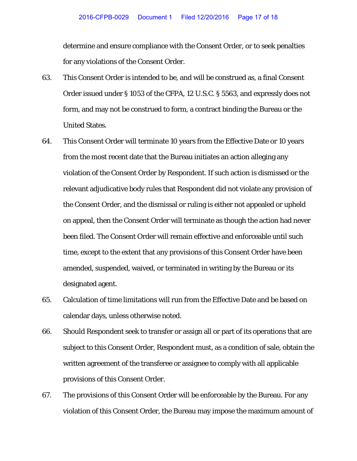determine and ensure compliance with the Consent Order, or to seek penalties for any violations of the Consent Order.

- 63. This Consent Order is intended to be, and will be construed as, a final Consent Order issued under § 1053 of the CFPA, 12 U.S.C. § 5563, and expressly does not form, and may not be construed to form, a contract binding the Bureau or the United States.
- 64. This Consent Order will terminate 10 years from the Effective Date or 10 years from the most recent date that the Bureau initiates an action alleging any violation of the Consent Order by Respondent. If such action is dismissed or the relevant adjudicative body rules that Respondent did not violate any provision of the Consent Order, and the dismissal or ruling is either not appealed or upheld on appeal, then the Consent Order will terminate as though the action had never been filed. The Consent Order will remain effective and enforceable until such time, except to the extent that any provisions of this Consent Order have been amended, suspended, waived, or terminated in writing by the Bureau or its designated agent.
- 65. Calculation of time limitations will run from the Effective Date and be based on calendar days, unless otherwise noted.
- 66. Should Respondent seek to transfer or assign all or part of its operations that are subject to this Consent Order, Respondent must, as a condition of sale, obtain the written agreement of the transferee or assignee to comply with all applicable provisions of this Consent Order.
- 67. The provisions of this Consent Order will be enforceable by the Bureau. For any violation of this Consent Order, the Bureau may impose the maximum amount of